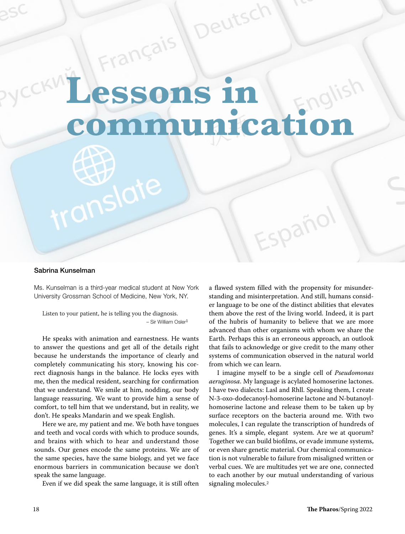## Erangara ( unicati

eutsc

## Sabrina Kunselman

Ms. Kunselman is a third-year medical student at New York University Grossman School of Medicine, New York, NY.

anslate

Listen to your patient, he is telling you the diagnosis.  $-$  Sir William Osler $1$ 

He speaks with animation and earnestness. He wants to answer the questions and get all of the details right because he understands the importance of clearly and completely communicating his story, knowing his correct diagnosis hangs in the balance. He locks eyes with me, then the medical resident, searching for confirmation that we understand. We smile at him, nodding, our body language reassuring. We want to provide him a sense of comfort, to tell him that we understand, but in reality, we don't. He speaks Mandarin and we speak English.

Here we are, my patient and me. We both have tongues and teeth and vocal cords with which to produce sounds, and brains with which to hear and understand those sounds. Our genes encode the same proteins. We are of the same species, have the same biology, and yet we face enormous barriers in communication because we don't speak the same language.

Even if we did speak the same language, it is still often

a flawed system filled with the propensity for misunderstanding and misinterpretation. And still, humans consider language to be one of the distinct abilities that elevates them above the rest of the living world. Indeed, it is part of the hubris of humanity to believe that we are more advanced than other organisms with whom we share the Earth. Perhaps this is an erroneous approach, an outlook that fails to acknowledge or give credit to the many other systems of communication observed in the natural world from which we can learn.

spaño

I imagine myself to be a single cell of Pseudomonas aeruginosa. My language is acylated homoserine lactones. I have two dialects: Lasl and Rhll. Speaking them, I create N-3-oxo-dodecanoyl-homoserine lactone and N-butanoylhomoserine lactone and release them to be taken up by surface receptors on the bacteria around me. With two molecules, I can regulate the transcription of hundreds of genes. It's a simple, elegant system. Are we at quorum? Together we can build biofilms, or evade immune systems, or even share genetic material. Our chemical communication is not vulnerable to failure from misaligned written or verbal cues. We are multitudes yet we are one, connected to each another by our mutual understanding of various signaling molecules.<sup>2</sup>